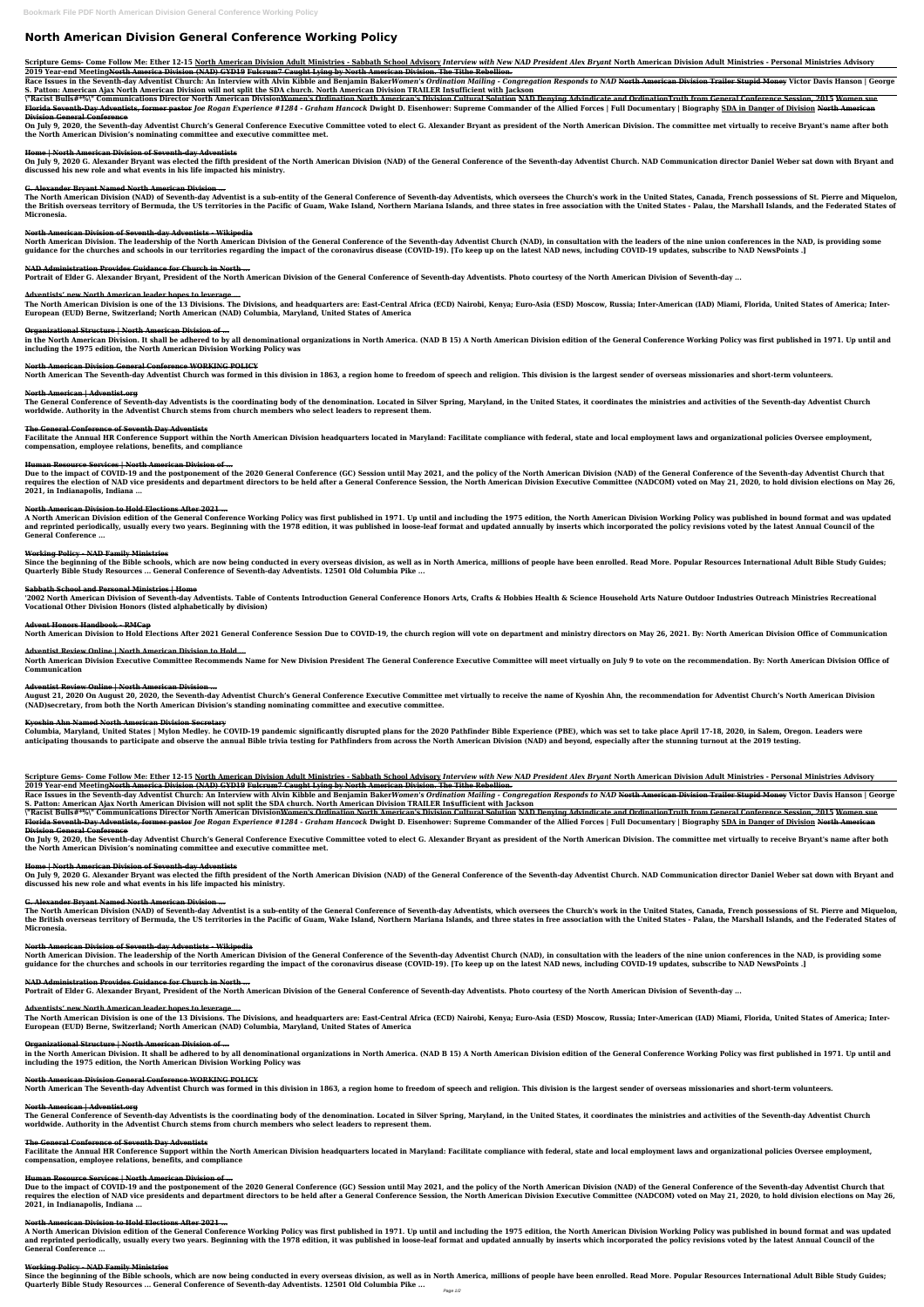# **North American Division General Conference Working Policy**

Scripture Gems- Come Follow Me: Ether 12-15 <u>North American Division Adult Ministries - Sabbath School Advisory</u> Interview with New NAD President Alex Bryant North American Division Adult Ministries - Personal Ministries A **2019 Year-end MeetingNorth America Division (NAD) GYD19 Fulcrum7 Caught Lying by North American Division. The Tithe Rebellion.**

Race Issues in the Seventh-day Adventist Church: An Interview with Alvin Kibble and Benjamin BakerWomen's Ordination Mailing - Congregation Responds to NAD <del>North American Division Trailer Stupid Money</del> Victor Davis Hanson **S. Patton: American Ajax North American Division will not split the SDA church. North American Division TRAILER In\$ufficient with Jackson** 

\"Racist Bulls#\*%\" Communications Director North American Division<del>Women's Ordination North American's Division Cultural Solution NAD Denying Advindicate and OrdinationTruth from General Conference Session, 2015 Women sue</del> Florida Seventh-Day Adventists, former pastor Joe Rogan Experience #1284 - Graham Hancock Dwight D. Eisenhower: Supreme Commander of the Allied Forces | Full Documentary | Biography SDA in Danger of Division North American **Division General Conference**

On July 9, 2020, the Seventh-day Adventist Church's General Conference Executive Committee voted to elect G. Alexander Bryant as president of the North American Division. The committee met virtually to receive Bryant's nam **the North American Division's nominating committee and executive committee met.**

On July 9, 2020 G. Alexander Bryant was elected the fifth president of the North American Division (NAD) of the General Conference of the Seventh-day Adventist Church. NAD Communication director Daniel Weber sat down with **discussed his new role and what events in his life impacted his ministry.**

The North American Division (NAD) of Seventh-day Adventist is a sub-entity of the General Conference of Seventh-day Adventists, which oversees the Church's work in the United States, Canada, French possessions of St. Pierr the British overseas territory of Bermuda, the US territories in the Pacific of Guam, Wake Island, Northern Mariana Islands, and three states in free association with the United States - Palau, the Marshall Islands, and th **Micronesia.**

North American Division. The leadership of the North American Division of the General Conference of the Seventh-day Adventist Church (NAD), in consultation with the leaders of the nine union conferences in the NAD, is prov **guidance for the churches and schools in our territories regarding the impact of the coronavirus disease (COVID-19). [To keep up on the latest NAD news, including COVID-19 updates, subscribe to NAD NewsPoints .]**

## **Home | North American Division of Seventh-day Adventists**

The North American Division is one of the 13 Divisions. The Divisions, and headquarters are: East-Central Africa (ECD) Nairobi, Kenya; Euro-Asia (ESD) Moscow, Russia; Inter-American (IAD) Miami, Florida, United States of A **European (EUD) Berne, Switzerland; North American (NAD) Columbia, Maryland, United States of America**

# **G. Alexander Bryant Named North American Division ...**

in the North American Division. It shall be adhered to by all denominational organizations in North America. (NAD B 15) A North American Division edition of the General Conference Working Policy was first published in 1971 **including the 1975 edition, the North American Division Working Policy was**

The General Conference of Seventh-day Adventists is the coordinating body of the denomination. Located in Silver Spring, Maryland, in the United States, it coordinates the ministries and activities of the Seventh-day Adven **worldwide. Authority in the Adventist Church stems from church members who select leaders to represent them.**

Facilitate the Annual HR Conference Support within the North American Division headquarters located in Maryland: Facilitate compliance with federal, state and local employment laws and organizational policies Oversee emplo **compensation, employee relations, benefits, and compliance**

# **North American Division of Seventh-day Adventists - Wikipedia**

Due to the impact of COVID-19 and the postponement of the 2020 General Conference (GC) Session until May 2021, and the policy of the North American Division (NAD) of the General Conference of the Seventh-day Adventist Chur requires the election of NAD vice presidents and department directors to be held after a General Conference Session, the North American Division Executive Committee (NADCOM) voted on May 21, 2020, to hold division election **2021, in Indianapolis, Indiana ...**

# **NAD Administration Provides Guidance for Church in North ...**

A North American Division edition of the General Conference Working Policy was first published in 1971. Up until and including the 1975 edition, the North American Division Working Policy was published in bound format and and reprinted periodically, usually every two years. Beginning with the 1978 edition, it was published in loose-leaf format and updated annually by inserts which incorporated the policy revisions voted by the latest Annual **General Conference ...**

**Portrait of Elder G. Alexander Bryant, President of the North American Division of the General Conference of Seventh-day Adventists. Photo courtesy of the North American Division of Seventh-day ...**

Since the beginning of the Bible schools, which are now being conducted in every overseas division, as well as in North America, millions of people have been enrolled. Read More. Popular Resources International Adult Bible **Quarterly Bible Study Resources ... General Conference of Seventh-day Adventists. 12501 Old Columbia Pike ...**

# **Adventists' new North American leader hopes to leverage ...**

'2002 North American Division of Seventh-day Adventists. Table of Contents Introduction General Conference Honors Arts, Crafts & Hobbies Health & Science Household Arts Nature Outdoor Industries Outreach Ministries Recreat **Vocational Other Division Honors (listed alphabetically by division)**

North American Division Executive Committee Recommends Name for New Division President The General Conference Executive Committee will meet virtually on July 9 to vote on the recommendation. By: North American Division Off **Communication**

# **Organizational Structure | North American Division of ...**

August 21, 2020 On August 20, 2020, the Seventh-day Adventist Church's General Conference Executive Committee met virtually to receive the name of Kyoshin Ahn, the recommendation for Adventist Church's North American Divis **(NAD)secretary, from both the North American Division's standing nominating committee and executive committee.**

# **North American Division General Conference WORKING POLICY**

North American The Seventh-day Adventist Church was formed in this division in 1863, a region home to freedom of speech and religion. This division is the largest sender of overseas missionaries and short-term volunteers.

Columbia, Maryland, United States | Mylon Medley. he COVID-19 pandemic significantly disrupted plans for the 2020 Pathfinder Bible Experience (PBE), which was set to take place April 17-18, 2020, in Salem, Oregon. Leaders **anticipating thousands to participate and observe the annual Bible trivia testing for Pathfinders from across the North American Division (NAD) and beyond, especially after the stunning turnout at the 2019 testing.**

Scripture Gems- Come Follow Me: Ether 12-15 <u>North American Division Adult Ministries - Sabbath School Advisory</u> Interview with New NAD President Alex Bryant North American Division Adult Ministries - Personal Ministries A **2019 Year-end MeetingNorth America Division (NAD) GYD19 Fulcrum7 Caught Lying by North American Division. The Tithe Rebellion.**

# **North American | Adventist.org**

Race Issues in the Seventh-day Adventist Church: An Interview with Alvin Kibble and Benjamin BakerWomen's Ordination Mailing - Congregation Responds to NAD <del>North American Division Trailer Stupid Money</del> Victor Davis Hanson **S. Patton: American Ajax North American Division will not split the SDA church. North American Division TRAILER In\$ufficient with Jackson** 

# **The General Conference of Seventh Day Adventists**

\"Racist Bulls#\*%\" Communications Director North American Division<del>Women's Ordination North American's Division Cultural Solution NAD Denying Advindicate and OrdinationTruth from General Conference Session, 2015 Women sue</del> Florida Seventh-Day Adventists, former pastor Joe Rogan Experience #1284 - Graham Hancock Dwight D. Eisenhower: Supreme Commander of the Allied Forces | Full Documentary | Biography SDA in Danger of Division North American **Division General Conference**

On July 9, 2020, the Seventh-day Adventist Church's General Conference Executive Committee voted to elect G. Alexander Bryant as president of the North American Division. The committee met virtually to receive Bryant's nam **the North American Division's nominating committee and executive committee met.**

# **Human Resource Services | North American Division of ...**

On July 9, 2020 G. Alexander Bryant was elected the fifth president of the North American Division (NAD) of the General Conference of the Seventh-day Adventist Church. NAD Communication director Daniel Weber sat down with **discussed his new role and what events in his life impacted his ministry.**

The North American Division (NAD) of Seventh-day Adventist is a sub-entity of the General Conference of Seventh-day Adventists, which oversees the Church's work in the United States, Canada, French possessions of St. Pierr the British overseas territory of Bermuda, the US territories in the Pacific of Guam, Wake Island, Northern Mariana Islands, and three states in free association with the United States - Palau, the Marshall Islands, and th **Micronesia.**

North American Division. The leadership of the North American Division of the General Conference of the Seventh-day Adventist Church (NAD), in consultation with the leaders of the nine union conferences in the NAD, is prov **guidance for the churches and schools in our territories regarding the impact of the coronavirus disease (COVID-19). [To keep up on the latest NAD news, including COVID-19 updates, subscribe to NAD NewsPoints .]**

#### **North American Division to Hold Elections After 2021 ...**

The North American Division is one of the 13 Divisions. The Divisions, and headquarters are: East-Central Africa (ECD) Nairobi, Kenya; Euro-Asia (ESD) Moscow, Russia; Inter-American (IAD) Miami, Florida, United States of A **European (EUD) Berne, Switzerland; North American (NAD) Columbia, Maryland, United States of America**

in the North American Division. It shall be adhered to by all denominational organizations in North America. (NAD B 15) A North American Division edition of the General Conference Working Policy was first published in 1971 **including the 1975 edition, the North American Division Working Policy was**

#### **Working Policy - NAD Family Ministries**

The General Conference of Seventh-day Adventists is the coordinating body of the denomination. Located in Silver Spring, Maryland, in the United States, it coordinates the ministries and activities of the Seventh-day Adven **worldwide. Authority in the Adventist Church stems from church members who select leaders to represent them.**

#### **Sabbath School and Personal Ministries | Home**

Facilitate the Annual HR Conference Support within the North American Division headquarters located in Maryland: Facilitate compliance with federal, state and local employment laws and organizational policies Oversee emplo **compensation, employee relations, benefits, and compliance**

### **Advent Honors Handbook - RMCap**

North American Division to Hold Elections After 2021 General Conference Session Due to COVID-19, the church region will vote on department and ministry directors on May 26, 2021. By: North American Division Office of Commu

Due to the impact of COVID-19 and the postponement of the 2020 General Conference (GC) Session until May 2021, and the policy of the North American Division (NAD) of the General Conference of the Seventh-day Adventist Chur requires the election of NAD vice presidents and department directors to be held after a General Conference Session, the North American Division Executive Committee (NADCOM) voted on May 21, 2020, to hold division election **2021, in Indianapolis, Indiana ...**

### **Adventist Review Online | North American Division to Hold ...**

A North American Division edition of the General Conference Working Policy was first published in 1971. Up until and including the 1975 edition, the North American Division Working Policy was published in bound format and and reprinted periodically, usually every two years. Beginning with the 1978 edition, it was published in loose-leaf format and updated annually by inserts which incorporated the policy revisions voted by the latest Annual **General Conference ...**

Since the beginning of the Bible schools, which are now being conducted in every overseas division, as well as in North America, millions of people have been enrolled. Read More. Popular Resources International Adult Bible **Quarterly Bible Study Resources ... General Conference of Seventh-day Adventists. 12501 Old Columbia Pike ...**

### **Adventist Review Online | North American Division ...**

#### **Kyoshin Ahn Named North American Division Secretary**

### **Home | North American Division of Seventh-day Adventists**

### **G. Alexander Bryant Named North American Division ...**

### **North American Division of Seventh-day Adventists - Wikipedia**

#### **NAD Administration Provides Guidance for Church in North ...**

**Portrait of Elder G. Alexander Bryant, President of the North American Division of the General Conference of Seventh-day Adventists. Photo courtesy of the North American Division of Seventh-day ...**

#### **Adventists' new North American leader hopes to leverage ...**

#### **Organizational Structure | North American Division of ...**

#### **North American Division General Conference WORKING POLICY**

North American The Seventh-day Adventist Church was formed in this division in 1863, a region home to freedom of speech and religion. This division is the largest sender of overseas missionaries and short-term volunteers.

#### **North American | Adventist.org**

#### **The General Conference of Seventh Day Adventists**

### **Human Resource Services | North American Division of ...**

### **North American Division to Hold Elections After 2021 ...**

### **Working Policy - NAD Family Ministries**